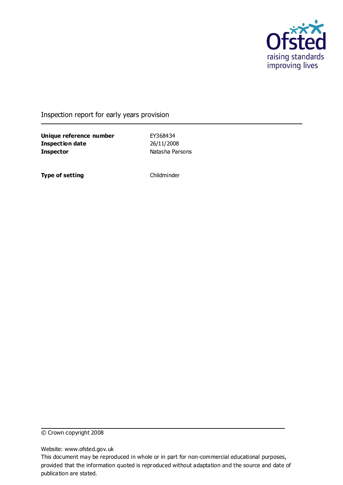

Inspection report for early years provision

**Unique reference number** EY368434 **Inspection date** 26/11/2008 **Inspector** Natasha Parsons

**Type of setting** Childminder

© Crown copyright 2008

Website: www.ofsted.gov.uk

This document may be reproduced in whole or in part for non-commercial educational purposes, provided that the information quoted is reproduced without adaptation and the source and date of publication are stated.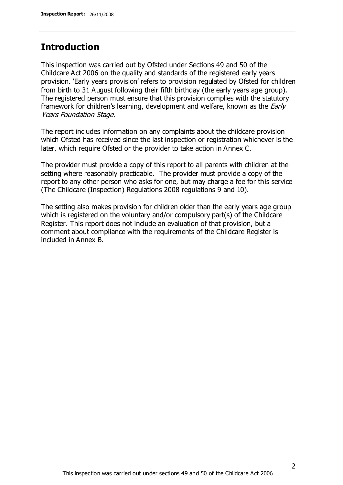# **Introduction**

This inspection was carried out by Ofsted under Sections 49 and 50 of the Childcare Act 2006 on the quality and standards of the registered early years provision. 'Early years provision' refers to provision regulated by Ofsted for children from birth to 31 August following their fifth birthday (the early years age group). The registered person must ensure that this provision complies with the statutory framework for children's learning, development and welfare, known as the *Early* Years Foundation Stage.

The report includes information on any complaints about the childcare provision which Ofsted has received since the last inspection or registration whichever is the later, which require Ofsted or the provider to take action in Annex C.

The provider must provide a copy of this report to all parents with children at the setting where reasonably practicable. The provider must provide a copy of the report to any other person who asks for one, but may charge a fee for this service (The Childcare (Inspection) Regulations 2008 regulations 9 and 10).

The setting also makes provision for children older than the early years age group which is registered on the voluntary and/or compulsory part(s) of the Childcare Register. This report does not include an evaluation of that provision, but a comment about compliance with the requirements of the Childcare Register is included in Annex B.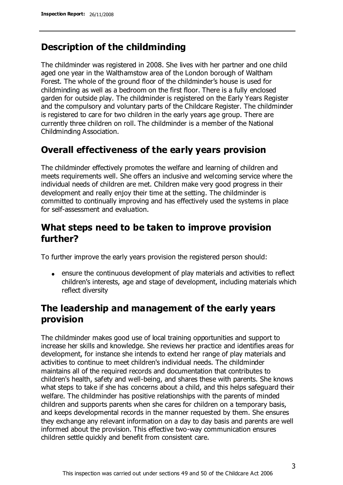# **Description of the childminding**

The childminder was registered in 2008. She lives with her partner and one child aged one year in the Walthamstow area of the London borough of Waltham Forest. The whole of the ground floor of the childminder's house is used for childminding as well as a bedroom on the first floor. There is a fully enclosed garden for outside play. The childminder is registered on the Early Years Register and the compulsory and voluntary parts of the Childcare Register. The childminder is registered to care for two children in the early years age group. There are currently three children on roll. The childminder is a member of the National Childminding Association.

# **Overall effectiveness of the early years provision**

The childminder effectively promotes the welfare and learning of children and meets requirements well. She offers an inclusive and welcoming service where the individual needs of children are met. Children make very good progress in their development and really enjoy their time at the setting. The childminder is committed to continually improving and has effectively used the systems in place for self-assessment and evaluation.

# **What steps need to be taken to improve provision further?**

To further improve the early years provision the registered person should:

ensure the continuous development of play materials and activities to reflect children's interests, age and stage of development, including materials which reflect diversity

# **The leadership and management of the early years provision**

The childminder makes good use of local training opportunities and support to increase her skills and knowledge. She reviews her practice and identifies areas for development, for instance she intends to extend her range of play materials and activities to continue to meet children's individual needs. The childminder maintains all of the required records and documentation that contributes to children's health, safety and well-being, and shares these with parents. She knows what steps to take if she has concerns about a child, and this helps safeguard their welfare. The childminder has positive relationships with the parents of minded children and supports parents when she cares for children on a temporary basis, and keeps developmental records in the manner requested by them. She ensures they exchange any relevant information on a day to day basis and parents are well informed about the provision. This effective two-way communication ensures children settle quickly and benefit from consistent care.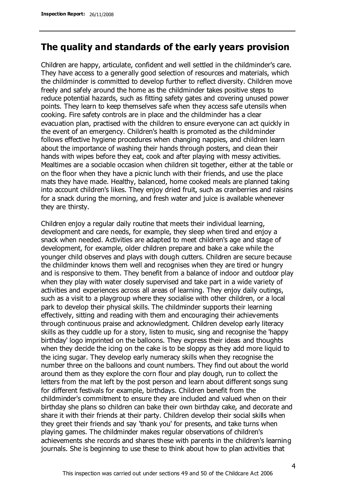## **The quality and standards of the early years provision**

Children are happy, articulate, confident and well settled in the childminder's care. They have access to a generally good selection of resources and materials, which the childminder is committed to develop further to reflect diversity. Children move freely and safely around the home as the childminder takes positive steps to reduce potential hazards, such as fitting safety gates and covering unused power points. They learn to keep themselves safe when they access safe utensils when cooking. Fire safety controls are in place and the childminder has a clear evacuation plan, practised with the children to ensure everyone can act quickly in the event of an emergency. Children's health is promoted as the childminder follows effective hygiene procedures when changing nappies, and children learn about the importance of washing their hands through posters, and clean their hands with wipes before they eat, cook and after playing with messy activities. Mealtimes are a sociable occasion when children sit together, either at the table or on the floor when they have a picnic lunch with their friends, and use the place mats they have made. Healthy, balanced, home cooked meals are planned taking into account children's likes. They enjoy dried fruit, such as cranberries and raisins for a snack during the morning, and fresh water and juice is available whenever they are thirsty.

Children enjoy a regular daily routine that meets their individual learning, development and care needs, for example, they sleep when tired and enjoy a snack when needed. Activities are adapted to meet children's age and stage of development, for example, older children prepare and bake a cake while the younger child observes and plays with dough cutters. Children are secure because the childminder knows them well and recognises when they are tired or hungry and is responsive to them. They benefit from a balance of indoor and outdoor play when they play with water closely supervised and take part in a wide variety of activities and experiences across all areas of learning. They enjoy daily outings, such as a visit to a playgroup where they socialise with other children, or a local park to develop their physical skills. The childminder supports their learning effectively, sitting and reading with them and encouraging their achievements through continuous praise and acknowledgment. Children develop early literacy skills as they cuddle up for a story, listen to music, sing and recognise the 'happy birthday' logo imprinted on the balloons. They express their ideas and thoughts when they decide the icing on the cake is to be sloppy as they add more liquid to the icing sugar. They develop early numeracy skills when they recognise the number three on the balloons and count numbers. They find out about the world around them as they explore the corn flour and play dough, run to collect the letters from the mat left by the post person and learn about different songs sung for different festivals for example, birthdays. Children benefit from the childminder's commitment to ensure they are included and valued when on their birthday she plans so children can bake their own birthday cake, and decorate and share it with their friends at their party. Children develop their social skills when they greet their friends and say 'thank you' for presents, and take turns when playing games. The childminder makes regular observations of children's achievements she records and shares these with parents in the children's learning journals. She is beginning to use these to think about how to plan activities that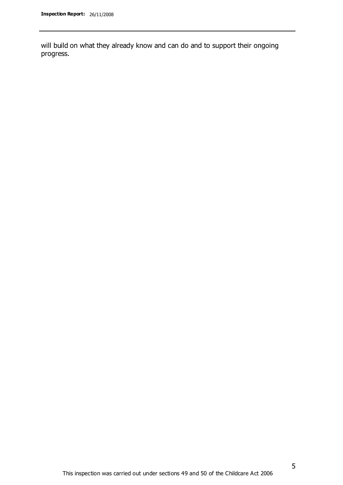will build on what they already know and can do and to support their ongoing progress.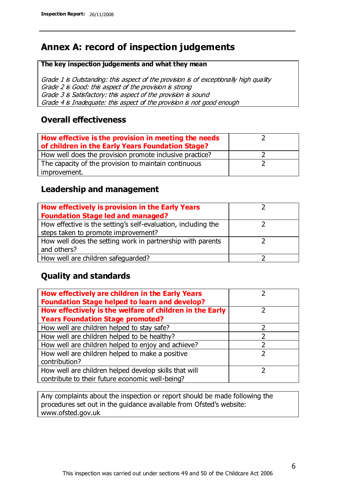# **Annex A: record of inspection judgements**

#### **The key inspection judgements and what they mean**

Grade 1 is Outstanding: this aspect of the provision is of exceptionally high quality Grade 2 is Good: this aspect of the provision is strong Grade 3 is Satisfactory: this aspect of the provision is sound Grade 4 is Inadequate: this aspect of the provision is not good enough

### **Overall effectiveness**

| How effective is the provision in meeting the needs<br>of children in the Early Years Foundation Stage? |  |
|---------------------------------------------------------------------------------------------------------|--|
| How well does the provision promote inclusive practice?                                                 |  |
| The capacity of the provision to maintain continuous                                                    |  |
| improvement.                                                                                            |  |

### **Leadership and management**

| How effectively is provision in the Early Years               |  |
|---------------------------------------------------------------|--|
| <b>Foundation Stage led and managed?</b>                      |  |
| How effective is the setting's self-evaluation, including the |  |
| steps taken to promote improvement?                           |  |
| How well does the setting work in partnership with parents    |  |
| and others?                                                   |  |
| How well are children safequarded?                            |  |

## **Quality and standards**

| How effectively are children in the Early Years<br><b>Foundation Stage helped to learn and develop?</b> |               |
|---------------------------------------------------------------------------------------------------------|---------------|
| How effectively is the welfare of children in the Early                                                 | ר             |
| <b>Years Foundation Stage promoted?</b>                                                                 |               |
| How well are children helped to stay safe?                                                              |               |
| How well are children helped to be healthy?                                                             |               |
| How well are children helped to enjoy and achieve?                                                      | 2             |
| How well are children helped to make a positive                                                         | $\mathcal{P}$ |
| contribution?                                                                                           |               |
| How well are children helped develop skills that will                                                   |               |
| contribute to their future economic well-being?                                                         |               |

Any complaints about the inspection or report should be made following the procedures set out in the guidance available from Ofsted's website: www.ofsted.gov.uk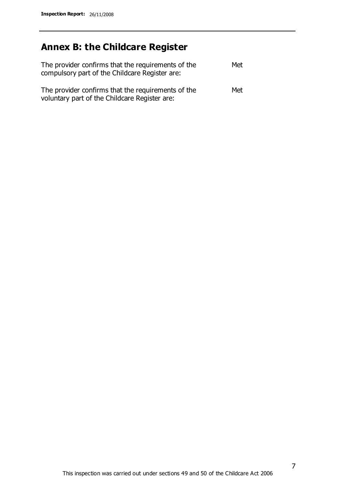# **Annex B: the Childcare Register**

| The provider confirms that the requirements of the<br>compulsory part of the Childcare Register are: | Met |
|------------------------------------------------------------------------------------------------------|-----|
| The provider confirms that the requirements of the<br>voluntary part of the Childcare Register are:  | Met |